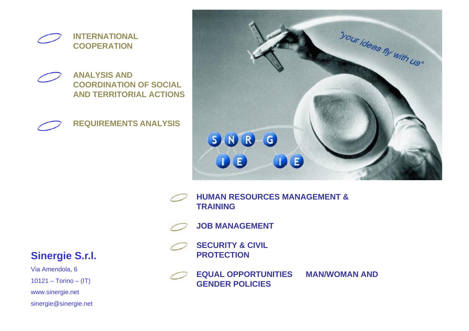

**ANALYSIS AND COORDINATION OF SOCIAL AND TERRITORIAL ACTIONS**





**HUMAN RESOURCES MANAGEMENT & TRAINING**

**JOB MANAGEMENT**

**SECURITY & CIVIL PROTECTION**



**EQUAL OPPORTUNITIES MAN/WOMAN AND** 

#### **Sinergie S.r.l.**

Via Amendola, 6  $10121 - Torino - (IT)$ www.sinergie.net sinergie@sinergie.net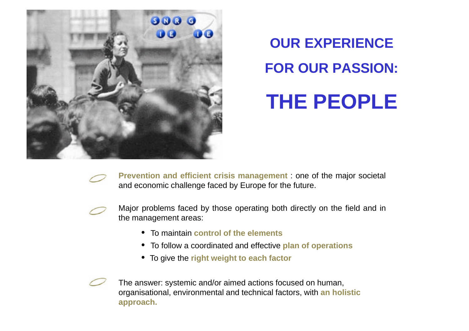

# **OUR EXPERIENCE FOR OUR PASSION:**

## **THE PEOPLE**

**Prevention and efficient crisis management** : one of the major societal and economic challenge faced by Europe for the future.



- Major problems faced by those operating both directly on the field and in the management areas:
	- To maintain **control of the elements**
	- To follow a coordinated and effective **plan of operations**
	- To give the **right weight to each factor**

The answer: systemic and/or aimed actions focused on human, organisational, environmental and technical factors, with **an holistic approach.**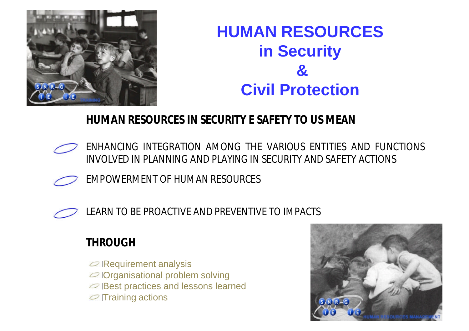

### **HUMAN RESOURCES in Security & Civil Protection**

### **HUMAN RESOURCES IN SECURITY E SAFETY TO US MEAN**

- ENHANCING INTEGRATION AMONG THE VARIOUS ENTITIES AND FUNCTIONS INVOLVED IN PLANNING AND PLAYING IN SECURITY AND SAFETY ACTIONS
	- EMPOWERMENT OF HUMAN RESOURCES



LEARN TO BE PROACTIVE AND PREVENTIVE TO IMPACTS

### **THROUGH**

- $\oslash$  Requirement analysis
- Organisational problem solving
- **Best practices and lessons learned**
- $\oslash$  Training actions